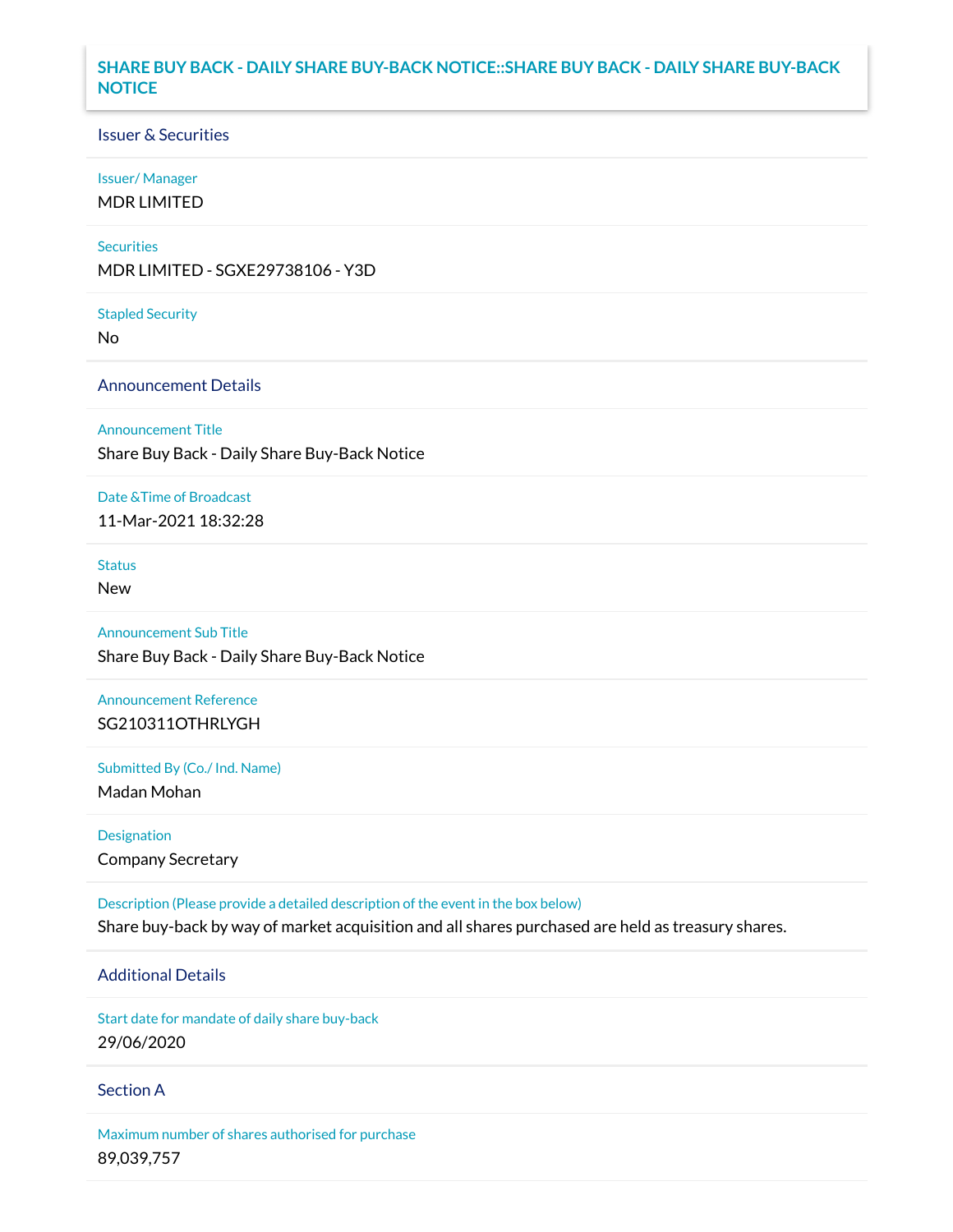## **SHARE BUY BACK - DAILY SHARE BUY-BACK NOTICE::SHARE BUY BACK - DAILY SHARE BUY-BACK NOTICE**

### Issuer & Securities

### Issuer/ Manager

MDR LIMITED

### **Securities**

MDR LIMITED - SGXE29738106 - Y3D

#### Stapled Security

No

### Announcement Details

Announcement Title

Share Buy Back - Daily Share Buy-Back Notice

#### Date &Time of Broadcast

11-Mar-2021 18:32:28

## Status

New

# Announcement Sub Title Share Buy Back - Daily Share Buy-Back Notice

Announcement Reference SG210311OTHRLYGH

Submitted By (Co./ Ind. Name)

Madan Mohan

Designation Company Secretary

Description (Please provide a detailed description of the event in the box below) Share buy-back by way of market acquisition and all shares purchased are held as treasury shares.

# Additional Details

Start date for mandate of daily share buy-back 29/06/2020

### Section A

Maximum number of shares authorised for purchase 89,039,757